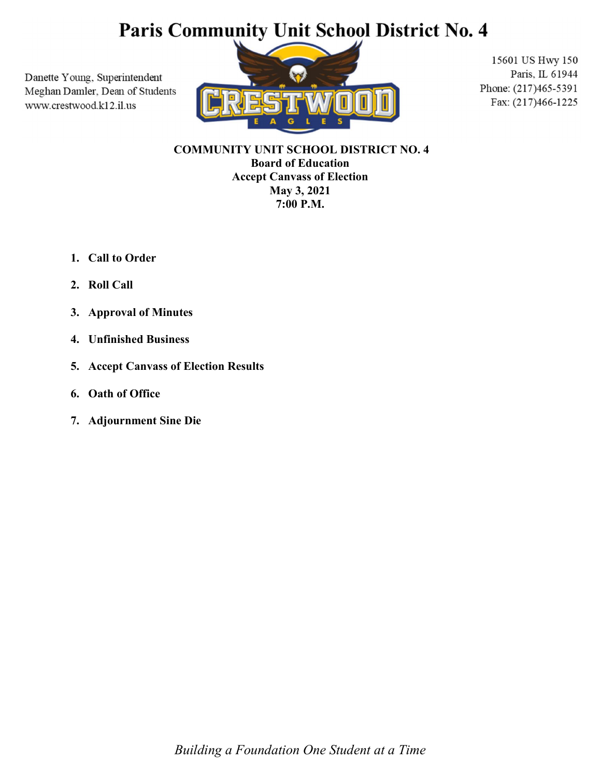## Paris Community Unit School District No. 4

Danette Young, Superintendent Meghan Damler, Dean of Students www.crestwood.k12.il.us



15601 US Hwy 150 Paris, IL 61944 Phone: (217)465-5391 Fax: (217)466-1225

 COMMUNITY UNIT SCHOOL DISTRICT NO. 4 Board of Education Accept Canvass of Election May 3, 2021 7:00 P.M.

- 1. Call to Order
- 2. Roll Call
- 3. Approval of Minutes
- 4. Unfinished Business
- 5. Accept Canvass of Election Results
- 6. Oath of Office
- 7. Adjournment Sine Die